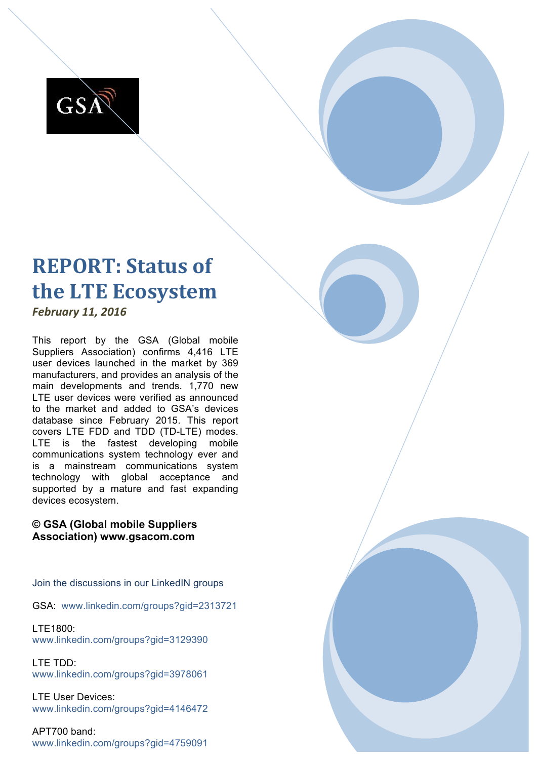

# **REPORT: Status of the LTE Ecosystem**

*February 11, 2016*

This report by the GSA (Global mobile Suppliers Association) confirms 4,416 LTE user devices launched in the market by 369 manufacturers, and provides an analysis of the main developments and trends. 1,770 new LTE user devices were verified as announced to the market and added to GSA's devices database since February 2015. This report covers LTE FDD and TDD (TD-LTE) modes. LTE is the fastest developing mobile communications system technology ever and is a mainstream communications system technology with global acceptance and supported by a mature and fast expanding devices ecosystem.

### **© GSA (Global mobile Suppliers Association) www.gsacom.com**

Join the discussions in our LinkedIN groups

GSA: www.linkedin.com/groups?gid=2313721

LTE1800: www.linkedin.com/groups?gid=3129390

LTE TDD: www.linkedin.com/groups?gid=3978061

LTE User Devices: www.linkedin.com/groups?gid=4146472

APT700 band: www.linkedin.com/groups?gid=4759091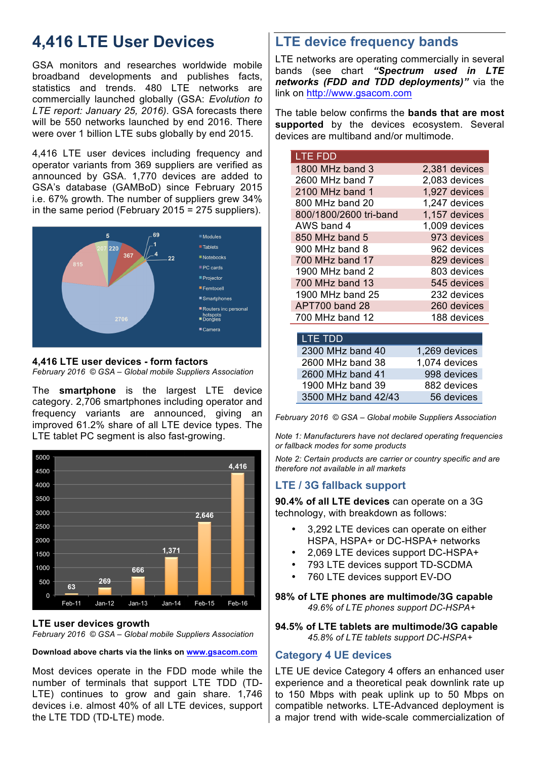## **4,416 LTE User Devices**

GSA monitors and researches worldwide mobile broadband developments and publishes facts, statistics and trends. 480 LTE networks are commercially launched globally (GSA: *Evolution to LTE report: January 25, 2016)*. GSA forecasts there will be 550 networks launched by end 2016. There were over 1 billion LTE subs globally by end 2015.

4,416 LTE user devices including frequency and operator variants from 369 suppliers are verified as announced by GSA. 1,770 devices are added to GSA's database (GAMBoD) since February 2015 i.e. 67% growth. The number of suppliers grew 34% in the same period (February 2015 = 275 suppliers).



## **4,416 LTE user devices - form factors**

*February 2016 © GSA – Global mobile Suppliers Association*

The **smartphone** is the largest LTE device category. 2,706 smartphones including operator and frequency variants are announced, giving an improved 61.2% share of all LTE device types. The LTE tablet PC segment is also fast-growing.



#### **LTE user devices growth**

*February 2016 © GSA – Global mobile Suppliers Association*

#### **Download above charts via the links on www.gsacom.com**

Most devices operate in the FDD mode while the number of terminals that support LTE TDD (TD-LTE) continues to grow and gain share. 1,746 devices i.e. almost 40% of all LTE devices, support the LTE TDD (TD-LTE) mode.

## **LTE device frequency bands**

LTE networks are operating commercially in several bands (see chart *"Spectrum used in LTE networks (FDD and TDD deployments)"* via the link on http://www.gsacom.com

The table below confirms the **bands that are most supported** by the devices ecosystem. Several devices are multiband and/or multimode.

| <b>LTE FDD</b>         |               |
|------------------------|---------------|
| 1800 MHz band 3        | 2,381 devices |
| 2600 MHz band 7        | 2,083 devices |
| 2100 MHz band 1        | 1,927 devices |
| 800 MHz band 20        | 1,247 devices |
| 800/1800/2600 tri-band | 1,157 devices |
| AWS band 4             | 1,009 devices |
| 850 MHz band 5         | 973 devices   |
| 900 MHz band 8         | 962 devices   |
| 700 MHz band 17        | 829 devices   |
| 1900 MHz band $2$      | 803 devices   |
| 700 MHz band 13        | 545 devices   |
| 1900 MHz band 25       | 232 devices   |
| APT700 band 28         | 260 devices   |
| 700 MHz band 12        | 188 devices   |

| <b>LTE TDD</b>      |               |
|---------------------|---------------|
| 2300 MHz band 40    | 1,269 devices |
| 2600 MHz band 38    | 1,074 devices |
| 2600 MHz band 41    | 998 devices   |
| 1900 MHz band 39    | 882 devices   |
| 3500 MHz band 42/43 | 56 devices    |

*February 2016 © GSA – Global mobile Suppliers Association*

*Note 1: Manufacturers have not declared operating frequencies or fallback modes for some products*

*Note 2: Certain products are carrier or country specific and are therefore not available in all markets*

## **LTE / 3G fallback support**

**90.4% of all LTE devices** can operate on a 3G technology, with breakdown as follows:

- 3,292 LTE devices can operate on either HSPA, HSPA+ or DC-HSPA+ networks
- 2,069 LTE devices support DC-HSPA+
- 793 LTE devices support TD-SCDMA
- 760 LTE devices support EV-DO

#### **98% of LTE phones are multimode/3G capable** *49.6% of LTE phones support DC-HSPA+*

**94.5% of LTE tablets are multimode/3G capable** *45.8% of LTE tablets support DC-HSPA+*

#### **Category 4 UE devices**

LTE UE device Category 4 offers an enhanced user experience and a theoretical peak downlink rate up to 150 Mbps with peak uplink up to 50 Mbps on compatible networks. LTE-Advanced deployment is a major trend with wide-scale commercialization of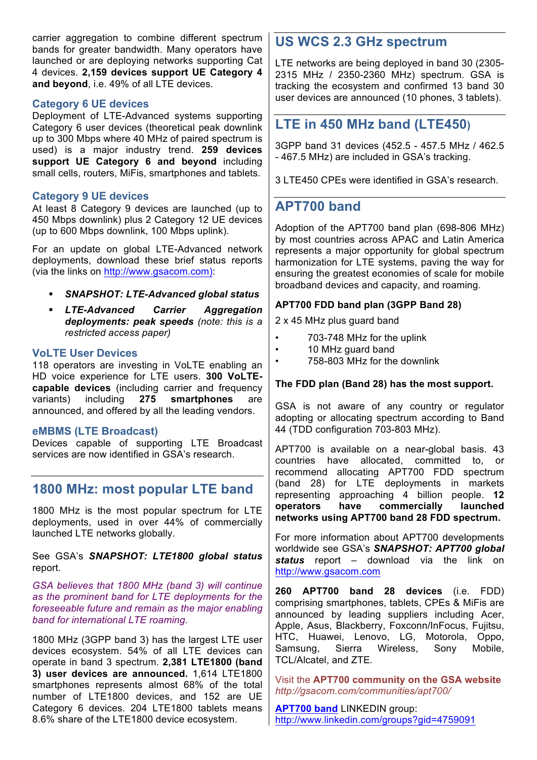carrier aggregation to combine different spectrum bands for greater bandwidth. Many operators have launched or are deploying networks supporting Cat 4 devices. **2,159 devices support UE Category 4 and beyond**, i.e. 49% of all LTE devices.

#### **Category 6 UE devices**

Deployment of LTE-Advanced systems supporting Category 6 user devices (theoretical peak downlink up to 300 Mbps where 40 MHz of paired spectrum is used) is a major industry trend. **259 devices support UE Category 6 and beyond** including small cells, routers, MiFis, smartphones and tablets.

#### **Category 9 UE devices**

At least 8 Category 9 devices are launched (up to 450 Mbps downlink) plus 2 Category 12 UE devices (up to 600 Mbps downlink, 100 Mbps uplink).

For an update on global LTE-Advanced network deployments, download these brief status reports (via the links on http://www.gsacom.com):

- § *SNAPSHOT: LTE-Advanced global status*
- § *LTE-Advanced Carrier Aggregation deployments: peak speeds (note: this is a restricted access paper)*

#### **VoLTE User Devices**

118 operators are investing in VoLTE enabling an HD voice experience for LTE users. **300 VoLTEcapable devices** (including carrier and frequency variants) including **275 smartphones** are announced, and offered by all the leading vendors.

#### **eMBMS (LTE Broadcast)**

Devices capable of supporting LTE Broadcast services are now identified in GSA's research.

## **1800 MHz: most popular LTE band**

1800 MHz is the most popular spectrum for LTE deployments, used in over 44% of commercially launched LTE networks globally.

#### See GSA's *SNAPSHOT: LTE1800 global status*  report.

*GSA believes that 1800 MHz (band 3) will continue as the prominent band for LTE deployments for the foreseeable future and remain as the major enabling band for international LTE roaming.*

1800 MHz (3GPP band 3) has the largest LTE user devices ecosystem. 54% of all LTE devices can operate in band 3 spectrum. **2,381 LTE1800 (band 3) user devices are announced.** 1,614 LTE1800 smartphones represents almost 68% of the total number of LTE1800 devices, and 152 are UE Category 6 devices. 204 LTE1800 tablets means 8.6% share of the LTE1800 device ecosystem.

## **US WCS 2.3 GHz spectrum**

LTE networks are being deployed in band 30 (2305- 2315 MHz / 2350-2360 MHz) spectrum. GSA is tracking the ecosystem and confirmed 13 band 30 user devices are announced (10 phones, 3 tablets).

## **LTE in 450 MHz band (LTE450)**

3GPP band 31 devices (452.5 - 457.5 MHz / 462.5 - 467.5 MHz) are included in GSA's tracking.

3 LTE450 CPEs were identified in GSA's research.

## **APT700 band**

Adoption of the APT700 band plan (698-806 MHz) by most countries across APAC and Latin America represents a major opportunity for global spectrum harmonization for LTE systems, paving the way for ensuring the greatest economies of scale for mobile broadband devices and capacity, and roaming.

#### **APT700 FDD band plan (3GPP Band 28)**

2 x 45 MHz plus guard band

- 703-748 MHz for the uplink
- 10 MHz guard band
- 758-803 MHz for the downlink

#### **The FDD plan (Band 28) has the most support.**

GSA is not aware of any country or regulator adopting or allocating spectrum according to Band 44 (TDD configuration 703-803 MHz).

APT700 is available on a near-global basis. 43 countries have allocated, committed to, or recommend allocating APT700 FDD spectrum (band 28) for LTE deployments in markets representing approaching 4 billion people. **12 operators have commercially launched networks using APT700 band 28 FDD spectrum.** 

For more information about APT700 developments worldwide see GSA's *SNAPSHOT: APT700 global status* report – download via the link on http://www.gsacom.com

**260 APT700 band 28 devices** (i.e. FDD) comprising smartphones, tablets, CPEs & MiFis are announced by leading suppliers including Acer, Apple, Asus, Blackberry, Foxconn/InFocus, Fujitsu, HTC, Huawei, Lenovo, LG, Motorola, Oppo, Samsung, Sierra Wireless, Sony Mobile, TCL/Alcatel, and ZTE*.* 

Visit the **APT700 community on the GSA website** *http://gsacom.com/communities/apt700/*

**APT700 band** LINKEDIN group: http://www.linkedin.com/groups?gid=4759091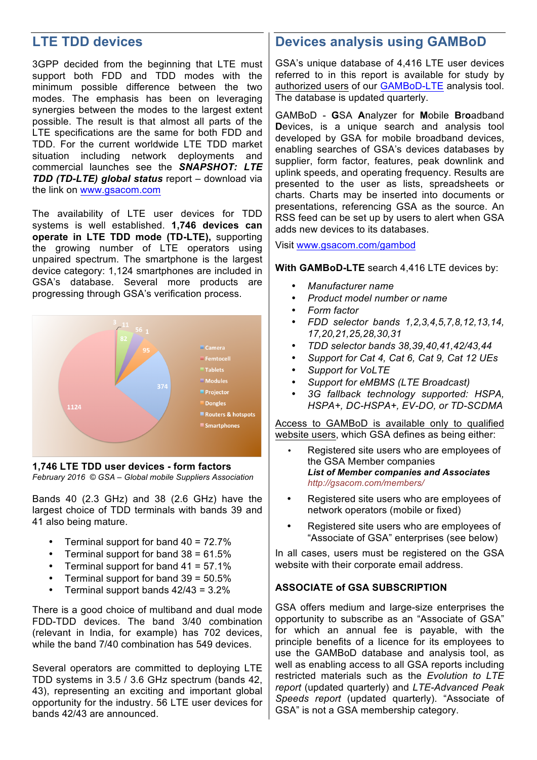## **LTE TDD devices**

3GPP decided from the beginning that LTE must support both FDD and TDD modes with the minimum possible difference between the two modes. The emphasis has been on leveraging synergies between the modes to the largest extent possible. The result is that almost all parts of the LTE specifications are the same for both FDD and TDD. For the current worldwide LTE TDD market situation including network deployments and commercial launches see the *SNAPSHOT: LTE TDD (TD-LTE) global status* report – download via the link on www.gsacom.com

The availability of LTE user devices for TDD systems is well established. **1,746 devices can operate in LTE TDD mode (TD-LTE),** supporting the growing number of LTE operators using unpaired spectrum. The smartphone is the largest device category: 1,124 smartphones are included in GSA's database. Several more products are progressing through GSA's verification process.



**1,746 LTE TDD user devices - form factors** *February 2016 © GSA – Global mobile Suppliers Association*

Bands 40 (2.3 GHz) and 38 (2.6 GHz) have the largest choice of TDD terminals with bands 39 and 41 also being mature.

- Terminal support for band 40 = 72.7%
- Terminal support for band  $38 = 61.5\%$
- Terminal support for band 41 = 57.1%
- Terminal support for band  $39 = 50.5\%$
- Terminal support bands 42/43 = 3.2%

There is a good choice of multiband and dual mode FDD-TDD devices. The band 3/40 combination (relevant in India, for example) has 702 devices, while the band 7/40 combination has 549 devices.

Several operators are committed to deploying LTE TDD systems in 3.5 / 3.6 GHz spectrum (bands 42, 43), representing an exciting and important global opportunity for the industry. 56 LTE user devices for bands 42/43 are announced.

## **Devices analysis using GAMBoD**

GSA's unique database of 4,416 LTE user devices referred to in this report is available for study by authorized users of our GAMBoD-LTE analysis tool. The database is updated quarterly.

GAMBoD - **G**SA **A**nalyzer for **M**obile **B**r**o**adband **D**evices, is a unique search and analysis tool developed by GSA for mobile broadband devices, enabling searches of GSA's devices databases by supplier, form factor, features, peak downlink and uplink speeds, and operating frequency. Results are presented to the user as lists, spreadsheets or charts. Charts may be inserted into documents or presentations, referencing GSA as the source. An RSS feed can be set up by users to alert when GSA adds new devices to its databases.

Visit www.gsacom.com/gambod

**With GAMBoD-LTE** search 4,416 LTE devices by:

- *Manufacturer name*
- *Product model number or name*
- *Form factor*
- *FDD selector bands 1,2,3,4,5,7,8,12,13,14, 17,20,21,25,28,30,31*
- *TDD selector bands 38,39,40,41,42/43,44*
- *Support for Cat 4, Cat 6, Cat 9, Cat 12 UEs*
- *Support for VoLTE*
- *Support for eMBMS (LTE Broadcast)*
- *3G fallback technology supported: HSPA, HSPA+, DC-HSPA+, EV-DO, or TD-SCDMA*

Access to GAMBoD is available only to qualified website users, which GSA defines as being either:

- Registered site users who are employees of the GSA Member companies *List of Member companies and Associates http://gsacom.com/members/*
- Registered site users who are employees of network operators (mobile or fixed)
- Registered site users who are employees of "Associate of GSA" enterprises (see below)

In all cases, users must be registered on the GSA website with their corporate email address.

#### **ASSOCIATE of GSA SUBSCRIPTION**

GSA offers medium and large-size enterprises the opportunity to subscribe as an "Associate of GSA" for which an annual fee is payable, with the principle benefits of a licence for its employees to use the GAMBoD database and analysis tool, as well as enabling access to all GSA reports including restricted materials such as the *Evolution to LTE report* (updated quarterly) and *LTE-Advanced Peak Speeds report* (updated quarterly). "Associate of GSA" is not a GSA membership category.